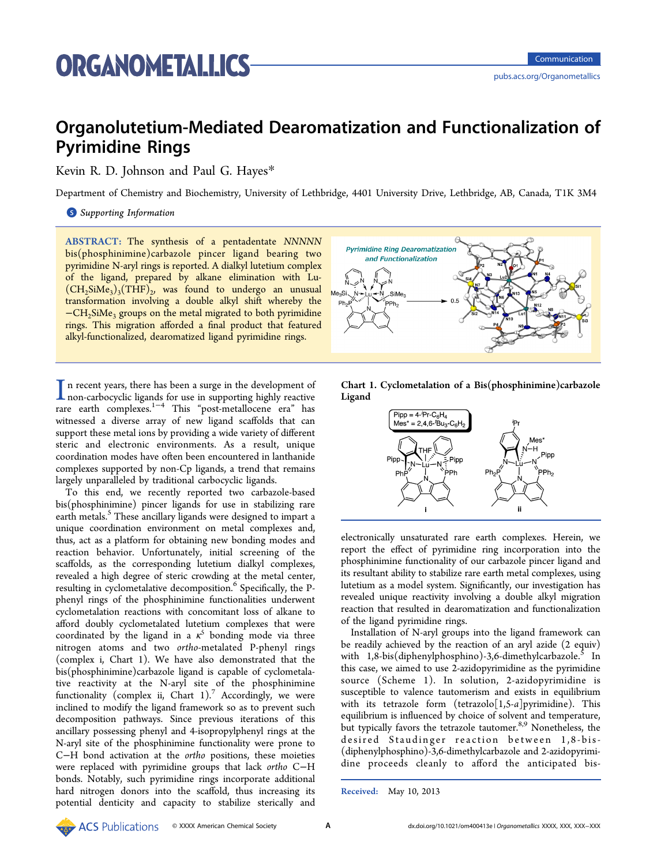# Organolutetium-Mediated Dearomatization and Functionalization of Pyrimidine Rings

Kevin R. D. Johnson and Paul G. Hayes[\\*](#page-3-0)

Department of Chemistry and Biochemistry, University of Lethbridge, 4401 University Drive, Lethbridge, AB, Canada, T1K 3M4

## **S** [Supporting Information](#page-3-0)

ABSTRACT: The synthesis of a pentadentate NNNNN bis(phosphinimine)carbazole pincer ligand bearing two pyrimidine N-aryl rings is reported. A dialkyl lutetium complex of the ligand, prepared by alkane elimination with Lu-  $(CH<sub>2</sub>SiMe<sub>3</sub>)<sub>3</sub>(THF)<sub>2</sub>$  was found to undergo an unusual transformation involving a double alkyl shift whereby the −CH2SiMe3 groups on the metal migrated to both pyrimidine rings. This migration afforded a final product that featured alkyl-functionalized, dearomatized ligand pyrimidine rings.

In recent years, there has been a surge in the development of non-carbocyclic ligands for use in supporting highly reactive rare earth complexes.<sup>1−4</sup> This "post-metallocene era" has n recent years, there has been a surge in the development of non-carbocyclic ligands for use in supporting highly reactive witnessed a diverse a[rray](#page-3-0) of new ligand scaffolds that can support these metal ions by providing a wide variety of different steric and electronic environments. As a result, unique coordination modes have often been encountered in lanthanide complexes supported by non-Cp ligands, a trend that remains largely unparalleled by traditional carbocyclic ligands.

To this end, we recently reported two carbazole-based bis(phosphinimine) pincer ligands for use in stabilizing rare earth metals.<sup>5</sup> These ancillary ligands were designed to impart a unique coo[rd](#page-3-0)ination environment on metal complexes and, thus, act as a platform for obtaining new bonding modes and reaction behavior. Unfortunately, initial screening of the scaffolds, as the corresponding lutetium dialkyl complexes, revealed a high degree of steric crowding at the metal center, resulting in cyclometalative decomposition.<sup>6</sup> Specifically, the Pphenyl rings of the phosphinimine functi[o](#page-3-0)nalities underwent cyclometalation reactions with concomitant loss of alkane to afford doubly cyclometalated lutetium complexes that were coordinated by the ligand in a  $\kappa^5$  bonding mode via three nitrogen atoms and two ortho-metalated P-phenyl rings (complex i, Chart 1). We have also demonstrated that the bis(phosphinimine)carbazole ligand is capable of cyclometalative reactivity at the N-aryl site of the phosphinimine functionality (complex ii, Chart  $1$ ).<sup>7</sup> Accordingly, we were inclined to modify the ligand framew[or](#page-3-0)k so as to prevent such decomposition pathways. Since previous iterations of this ancillary possessing phenyl and 4-isopropylphenyl rings at the N-aryl site of the phosphinimine functionality were prone to C−H bond activation at the ortho positions, these moieties were replaced with pyrimidine groups that lack ortho C−H bonds. Notably, such pyrimidine rings incorporate additional hard nitrogen donors into the scaffold, thus increasing its potential denticity and capacity to stabilize sterically and







electronically unsaturated rare earth complexes. Herein, we report the effect of pyrimidine ring incorporation into the phosphinimine functionality of our carbazole pincer ligand and its resultant ability to stabilize rare earth metal complexes, using lutetium as a model system. Significantly, our investigation has revealed unique reactivity involving a double alkyl migration reaction that resulted in dearomatization and functionalization of the ligand pyrimidine rings.

Installation of N-aryl groups into the ligand framework can be readily achieved by the reaction of an aryl azide (2 equiv) with  $1,8$ -bis(diphenylphosphino)-3,6-dimethylcarbazole.<sup>5</sup> In this case, we aimed to use 2-azidopyrimidine as the pyrim[id](#page-3-0)ine source (Scheme 1). In solution, 2-azidopyrimidine is susceptible to vale[nce](#page-1-0) tautomerism and exists in equilibrium with its tetrazole form (tetrazolo[1,5-a]pyrimidine). This equilibrium is influenced by choice of solvent and temperature, but typically favors the tetrazole tautomer.<sup>8,9</sup> Nonetheless, the desired Staudinger reaction b[etw](#page-3-0)een 1,8-bis- (diphenylphosphino)-3,6-dimethylcarbazole and 2-azidopyrimidine proceeds cleanly to afford the anticipated bis-

Received: May 10, 2013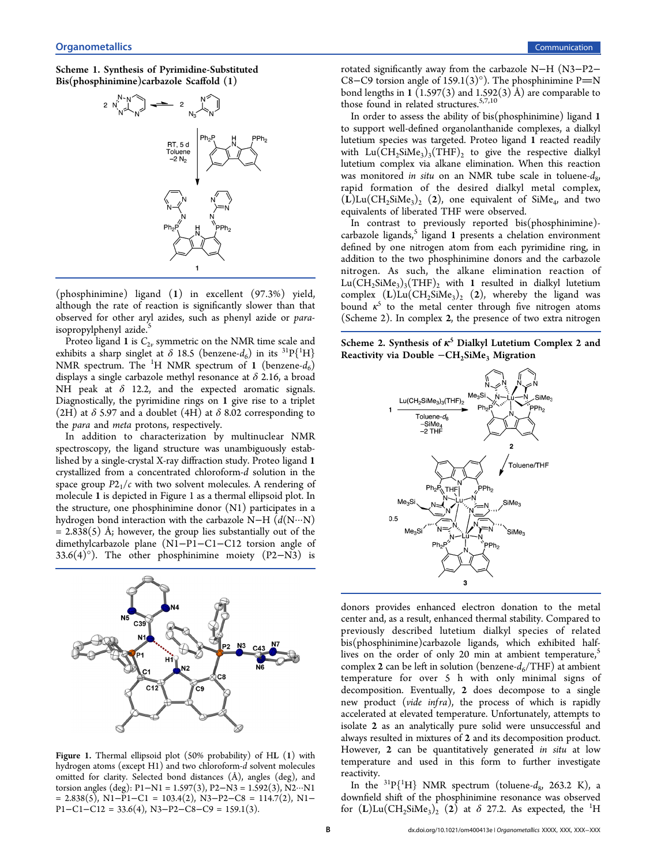# <span id="page-1-0"></span>Scheme 1. Synthesis of Pyrimidine-Substituted Bis(phosphinimine)carbazole Scaffold (1)



(phosphinimine) ligand (1) in excellent (97.3%) yield, although the rate of reaction is significantly slower than that observed for other aryl azides, such as phenyl azide or para-isopropylphenyl azide.<sup>[5](#page-3-0)</sup>

Proteo ligand 1 is  $C_{2v}$  symmetric on the NMR time scale and exhibits a sharp singlet at  $\delta$  18.5 (benzene- $d_6$ ) in its <sup>31</sup>P{<sup>1</sup>H} NMR spectrum. The  ${}^{1}H$  NMR spectrum of 1 (benzene- $d_6$ ) displays a single carbazole methyl resonance at  $\delta$  2.16, a broad NH peak at  $\delta$  12.2, and the expected aromatic signals. Diagnostically, the pyrimidine rings on 1 give rise to a triplet (2H) at  $\delta$  5.97 and a doublet (4H) at  $\delta$  8.02 corresponding to the para and meta protons, respectively.

In addition to characterization by multinuclear NMR spectroscopy, the ligand structure was unambiguously established by a single-crystal X-ray diffraction study. Proteo ligand 1 crystallized from a concentrated chloroform-d solution in the space group  $P2<sub>1</sub>/c$  with two solvent molecules. A rendering of molecule 1 is depicted in Figure 1 as a thermal ellipsoid plot. In the structure, one phosphinimine donor (N1) participates in a hydrogen bond interaction with the carbazole N−H (d(N···N)  $= 2.838(5)$  Å; however, the group lies substantially out of the dimethylcarbazole plane (N1−P1−C1−C12 torsion angle of 33.6(4)°). The other phosphinimine moiety (P2−N3) is



Figure 1. Thermal ellipsoid plot (50% probability) of HL (1) with hydrogen atoms (except H1) and two chloroform-d solvent molecules omitted for clarity. Selected bond distances (Å), angles (deg), and torsion angles (deg): P1−N1 = 1.597(3), P2−N3 = 1.592(3), N2···N1 = 2.838(5), N1−P1−C1 = 103.4(2), N3−P2−C8 = 114.7(2), N1−  $P1-C1-C12 = 33.6(4)$ , N3-P2-C8-C9 = 159.1(3).

rotated significantly away from the carbazole N−H (N3−P2− C8−C9 torsion angle of 159.1(3) $^{\circ}$ ). The phosphinimine P=N bond lengths in 1 (1.597(3) and 1.592(3) Å) are comparable to those found in related structures.<sup>5,7,10</sup>

In order to assess the ability o[f](#page-3-0) [bis\(](#page-3-0)phosphinimine) ligand 1 to support well-defined organolanthanide complexes, a dialkyl lutetium species was targeted. Proteo ligand 1 reacted readily with  $Lu(CH_2SiMe_3)_3(THF)_2$  to give the respective dialkyl lutetium complex via alkane elimination. When this reaction was monitored in situ on an NMR tube scale in toluene- $d_8$ , rapid formation of the desired dialkyl metal complex,  $(L)$ Lu $(CH_2SiMe_3)_2$  (2), one equivalent of SiMe<sub>4</sub>, and two equivalents of liberated THF were observed.

In contrast to previously reported bis(phosphinimine) carbazole ligands,<sup>5</sup> ligand 1 presents a chelation environment defined by one [ni](#page-3-0)trogen atom from each pyrimidine ring, in addition to the two phosphinimine donors and the carbazole nitrogen. As such, the alkane elimination reaction of  $Lu(CH_2SiMe_3)_{3}(THF)_{2}$  with 1 resulted in dialkyl lutetium complex  $(L)$ Lu $(CH_2SiMe_3)_2$   $(2)$ , whereby the ligand was bound  $\kappa^5$  to the metal center through five nitrogen atoms (Scheme 2). In complex 2, the presence of two extra nitrogen

Scheme 2. Synthesis of  $\kappa^5$  Dialkyl Lutetium Complex 2 and Reactivity via Double −CH<sub>2</sub>SiMe<sub>3</sub> Migration



donors provides enhanced electron donation to the metal center and, as a result, enhanced thermal stability. Compared to previously described lutetium dialkyl species of related bis(phosphinimine)carbazole ligands, which exhibited halflives on the order of only 20 min at ambient temperature, $5$ complex 2 can be left in solution (benzene- $d_6$ /THF) at ambie[nt](#page-3-0) temperature for over 5 h with only minimal signs of decomposition. Eventually, 2 does decompose to a single new product (vide infra), the process of which is rapidly accelerated at elevated temperature. Unfortunately, attempts to isolate 2 as an analytically pure solid were unsuccessful and always resulted in mixtures of 2 and its decomposition product. However, 2 can be quantitatively generated in situ at low temperature and used in this form to further investigate reactivity.

In the <sup>31</sup>P{<sup>1</sup>H} NMR spectrum (toluene- $d_8$ , 263.2 K), a downfield shift of the phosphinimine resonance was observed for  $(L)$ Lu $(CH_2SiMe_3)_2^{\text{}}$  (2) at  $\delta$  27.2. As expected, the <sup>1</sup>H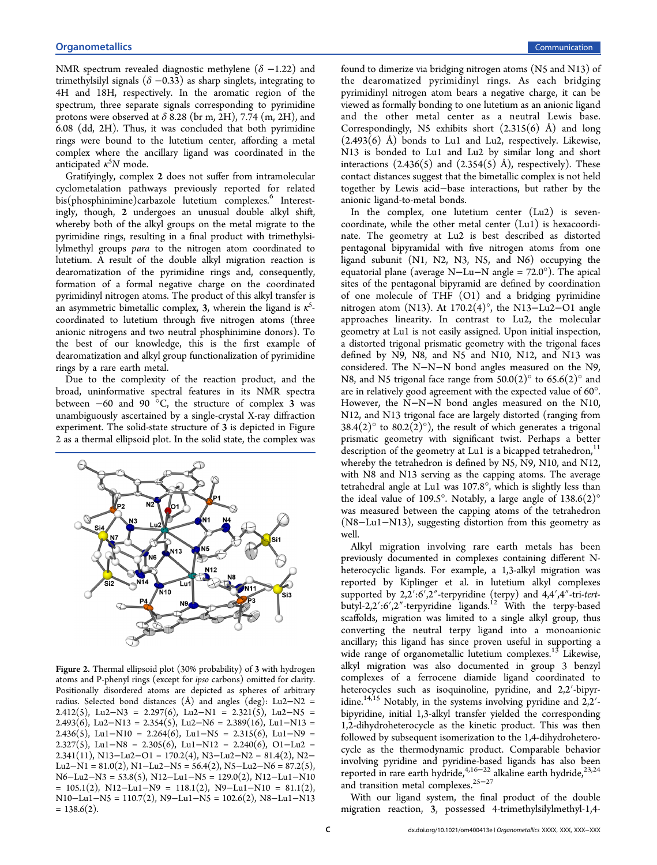NMR spectrum revealed diagnostic methylene ( $\delta$  -1.22) and trimethylsilyl signals ( $\delta$  –0.33) as sharp singlets, integrating to 4H and 18H, respectively. In the aromatic region of the spectrum, three separate signals corresponding to pyrimidine protons were observed at  $\delta$  8.28 (br m, 2H), 7.74 (m, 2H), and 6.08 (dd, 2H). Thus, it was concluded that both pyrimidine rings were bound to the lutetium center, affording a metal complex where the ancillary ligand was coordinated in the anticipated  $\kappa^5 N$  mode.

Gratifyingly, complex 2 does not suffer from intramolecular cyclometalation pathways previously reported for related bis(phosphinimine)carbazole lutetium complexes.<sup>6</sup> Interestingly, though, 2 undergoes an unusual double [a](#page-3-0)lkyl shift, whereby both of the alkyl groups on the metal migrate to the pyrimidine rings, resulting in a final product with trimethylsilylmethyl groups para to the nitrogen atom coordinated to lutetium. A result of the double alkyl migration reaction is dearomatization of the pyrimidine rings and, consequently, formation of a formal negative charge on the coordinated pyrimidinyl nitrogen atoms. The product of this alkyl transfer is an asymmetric bimetallic complex, 3, wherein the ligand is  $\kappa^5$ coordinated to lutetium through five nitrogen atoms (three anionic nitrogens and two neutral phosphinimine donors). To the best of our knowledge, this is the first example of dearomatization and alkyl group functionalization of pyrimidine rings by a rare earth metal.

Due to the complexity of the reaction product, and the broad, uninformative spectral features in its NMR spectra between  $-60$  and  $90$  °C, the structure of complex 3 was unambiguously ascertained by a single-crystal X-ray diffraction experiment. The solid-state structure of 3 is depicted in Figure 2 as a thermal ellipsoid plot. In the solid state, the complex was



Figure 2. Thermal ellipsoid plot (30% probability) of 3 with hydrogen atoms and P-phenyl rings (except for ipso carbons) omitted for clarity. Positionally disordered atoms are depicted as spheres of arbitrary radius. Selected bond distances (Å) and angles (deg): Lu2−N2 = 2.412(5), Lu2−N3 = 2.297(6), Lu2−N1 = 2.321(5), Lu2−N5 = 2.493(6), Lu2−N13 = 2.354(5), Lu2−N6 = 2.389(16), Lu1−N13 = 2.436(5), Lu1-N10 = 2.264(6), Lu1-N5 = 2.315(6), Lu1-N9 = 2.327(5), Lu1–N8 = 2.305(6), Lu1–N12 = 2.240(6), O1–Lu2 = 2.341(11), N13−Lu2−O1 = 170.2(4), N3−Lu2−N2 = 81.4(2), N2− Lu2−N1 =  $81.0(2)$ , N1−Lu2−N5 =  $56.4(2)$ , N5−Lu2−N6 =  $87.2(5)$ , N6−Lu2−N3 = 53.8(5), N12−Lu1−N5 = 129.0(2), N12−Lu1−N10  $= 105.1(2)$ , N12-Lu1-N9 = 118.1(2), N9-Lu1-N10 = 81.1(2), N10−Lu1−N5 = 110.7(2), N9−Lu1−N5 = 102.6(2), N8−Lu1−N13  $= 138.6(2)$ .

found to dimerize via bridging nitrogen atoms (N5 and N13) of the dearomatized pyrimidinyl rings. As each bridging pyrimidinyl nitrogen atom bears a negative charge, it can be viewed as formally bonding to one lutetium as an anionic ligand and the other metal center as a neutral Lewis base. Correspondingly, N5 exhibits short  $(2.315(6)$  Å) and long  $(2.493(6)$  Å) bonds to Lu1 and Lu2, respectively. Likewise, N13 is bonded to Lu1 and Lu2 by similar long and short interactions  $(2.436(5)$  and  $(2.354(5)$  Å), respectively). These contact distances suggest that the bimetallic complex is not held together by Lewis acid−base interactions, but rather by the anionic ligand-to-metal bonds.

In the complex, one lutetium center (Lu2) is sevencoordinate, while the other metal center (Lu1) is hexacoordinate. The geometry at Lu2 is best described as distorted pentagonal bipyramidal with five nitrogen atoms from one ligand subunit (N1, N2, N3, N5, and N6) occupying the equatorial plane (average N−Lu−N angle = 72.0°). The apical sites of the pentagonal bipyramid are defined by coordination of one molecule of THF (O1) and a bridging pyrimidine nitrogen atom (N13). At 170.2(4)°, the N13–Lu2–O1 angle approaches linearity. In contrast to Lu2, the molecular geometry at Lu1 is not easily assigned. Upon initial inspection, a distorted trigonal prismatic geometry with the trigonal faces defined by N9, N8, and N5 and N10, N12, and N13 was considered. The N−N−N bond angles measured on the N9, N8, and N5 trigonal face range from  $50.0(2)^\circ$  to  $65.6(2)^\circ$  and are in relatively good agreement with the expected value of 60°. However, the N−N−N bond angles measured on the N10, N12, and N13 trigonal face are largely distorted (ranging from  $38.4(2)$ ° to  $80.2(2)$ °), the result of which generates a trigonal prismatic geometry with significant twist. Perhaps a better description of the geometry at Lu1 is a bicapped tetrahedron, $<sup>11</sup>$ </sup> whereby the tetrahedron is defined by N5, N9, N10, and N1[2,](#page-3-0) with N8 and N13 serving as the capping atoms. The average tetrahedral angle at Lu1 was 107.8°, which is slightly less than the ideal value of 109.5°. Notably, a large angle of  $138.6(2)$ ° was measured between the capping atoms of the tetrahedron (N8−Lu1−N13), suggesting distortion from this geometry as well.

Alkyl migration involving rare earth metals has been previously documented in complexes containing different Nheterocyclic ligands. For example, a 1,3-alkyl migration was reported by Kiplinger et al. in lutetium alkyl complexes supported by 2,2′:6′,2″-terpyridine (terpy) and 4,4′,4″-tri-tertbutyl-2,2':6',2"-terpyridine ligands.<sup>12</sup> With the terpy-based scaffolds, migration was limited to [a](#page-3-0) single alkyl group, thus converting the neutral terpy ligand into a monoanionic ancillary; this ligand has since proven useful in supporting a wide range of organometallic lutetium complexes.<sup>13</sup> Likewise, alkyl migration was also documented in grou[p](#page-3-0) 3 benzyl complexes of a ferrocene diamide ligand coordinated to heterocycles such as isoquinoline, pyridine, and 2,2′-bipyridine.<sup>14,15</sup> Notably, in the systems involving pyridine and 2,2<sup>'</sup>bipyr[idine](#page-3-0), initial 1,3-alkyl transfer yielded the corresponding 1,2-dihydroheterocycle as the kinetic product. This was then followed by subsequent isomerization to the 1,4-dihydroheterocycle as the thermodynamic product. Comparable behavior involving pyridine and pyridine-based ligands has also been reported in rare earth hydride,<sup>4,16−22</sup> alkaline earth hydride,<sup>[23,24](#page-3-0)</sup> and transition metal complex[es](#page-3-0).<sup>[25](#page-3-0)−[27](#page-3-0)</sup>

With our ligand system, th[e](#page-3-0) fi[na](#page-3-0)l product of the double migration reaction, 3, possessed 4-trimethylsilylmethyl-1,4